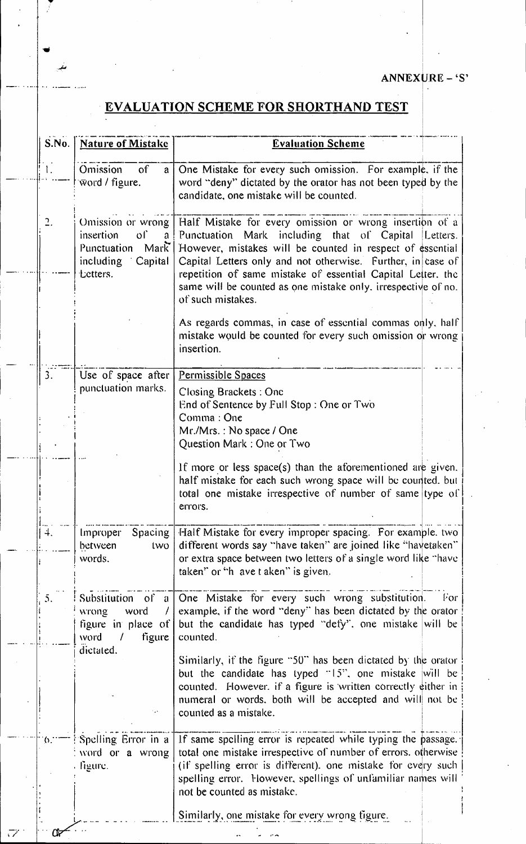## ANNEXURE - 'S'

## **EVALUATION SCHEME FOR SHORTHAND TEST**

| S.No.        | <b>Nature of Mistake</b>                                                                        | <b>Evaluation Scheme</b>                                                                                                                                                                                                                                                                                                                                                                           |
|--------------|-------------------------------------------------------------------------------------------------|----------------------------------------------------------------------------------------------------------------------------------------------------------------------------------------------------------------------------------------------------------------------------------------------------------------------------------------------------------------------------------------------------|
| Ι.           | of<br>Omission<br>a<br>word / figure.                                                           | One Mistake for every such omission. For example, if the<br>word "deny" dictated by the orator has not been typed by the<br>candidate, one mistake will be counted.                                                                                                                                                                                                                                |
|              | Omission or wrong<br>insertion<br>oſ`<br>a<br>Punctuation Mark<br>including Capital<br>tetters. | Half Mistake for every omission or wrong insertion of a<br>Punctuation Mark including that of Capital<br>Letters.<br>However, mistakes will be counted in respect of essential<br>Capital Letters only and not otherwise. Further, in case of<br>repetition of same mistake of essential Capital Letter, the<br>same will be counted as one mistake only, irrespective of no.<br>of such mistakes. |
|              |                                                                                                 | As regards commas, in case of essential commas only, half<br>mistake would be counted for every such omission or wrong<br>insertion.                                                                                                                                                                                                                                                               |
| 3.           | Use of space after<br>punctuation marks.                                                        | Permissible Spaces<br>Closing Brackets: One<br>End of Sentence by Full Stop: One or Two<br>Comma: One<br>Mr./Mrs.: No space / One<br>Question Mark: One or Two                                                                                                                                                                                                                                     |
|              |                                                                                                 | If more or less space(s) than the aforementioned are given.<br>half mistake for each such wrong space will be counted. but<br>total one mistake irrespective of number of same type of<br>errors.                                                                                                                                                                                                  |
| $\ddagger$ . | Spacing<br>Improper<br>between<br>two<br>words.                                                 | Half Mistake for every improper spacing. For example, two<br>different words say "have taken" are joined like "havetaken"<br>or extra space between two letters of a single word like "have<br>taken" or "h ave t aken" is given.                                                                                                                                                                  |
| Ć.           | Substitution of a<br>word.<br>wrong<br>figure in place of<br>word<br>figure<br>T<br>dictated.   | One Mistake for every such wrong substitution.<br>For<br>example, if the word "deny" has been dictated by the orator<br>but the candidate has typed "defy", one mistake will be<br>counted.                                                                                                                                                                                                        |
|              |                                                                                                 | Similarly, if the figure "50" has been dictated by the orator<br>but the candidate has typed $15$ ", one mistake will be<br>counted. However, if a figure is written correctly either in<br>numeral or words, both will be accepted and will not be<br>counted as a mistake.                                                                                                                       |
| $\Omega$ .   | Spelling Error in a<br>word or a wrong<br>figure.                                               | If same spelling error is repeated while typing the passage.<br>total one mistake irrespective of number of errors, otherwise<br>(if spelling error is different), one mistake for every such<br>spelling error. However, spellings of unfamiliar names will<br>not be counted as mistake.                                                                                                         |
|              |                                                                                                 | Similarly, one mistake for every wrong figure.                                                                                                                                                                                                                                                                                                                                                     |

 $\vec{v}$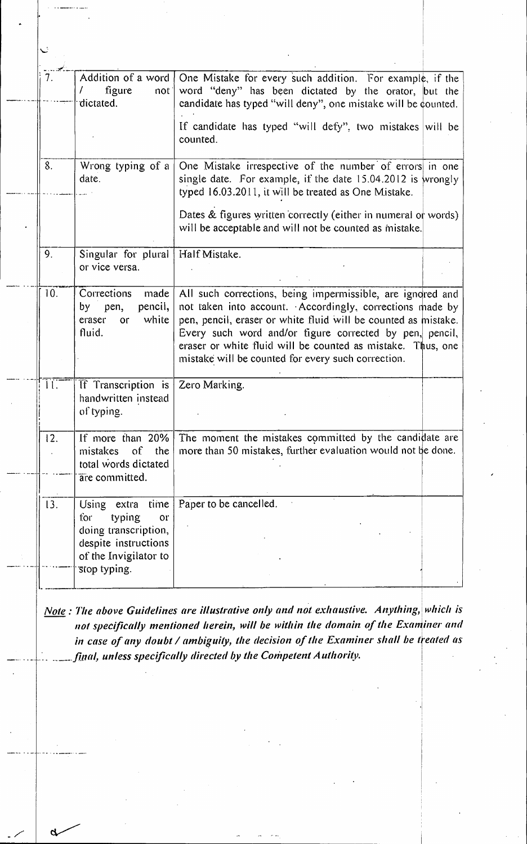| 7.  | Addition of a word<br>figure<br>not<br>dictated.                                                                                        | One Mistake for every such addition. For example, if the<br>word "deny" has been dictated by the orator, but the<br>candidate has typed "will deny", one mistake will be counted.                                                                                                                                                                                        |
|-----|-----------------------------------------------------------------------------------------------------------------------------------------|--------------------------------------------------------------------------------------------------------------------------------------------------------------------------------------------------------------------------------------------------------------------------------------------------------------------------------------------------------------------------|
|     |                                                                                                                                         | If candidate has typed "will defy", two mistakes will be<br>counted.                                                                                                                                                                                                                                                                                                     |
| 8.  | Wrong typing of a<br>date.                                                                                                              | One Mistake irrespective of the number of errors in one<br>single date. For example, if the date 15.04.2012 is wrongly<br>typed 16.03.2011, it will be treated as One Mistake.                                                                                                                                                                                           |
|     |                                                                                                                                         | Dates & figures written correctly (either in numeral or words)<br>will be acceptable and will not be counted as mistake.                                                                                                                                                                                                                                                 |
| 9.  | Singular for plural<br>or vice versa.                                                                                                   | Half Mistake.                                                                                                                                                                                                                                                                                                                                                            |
| 10. | Corrections<br>made<br>pencil,<br>by pen,<br>white<br>eraser<br>or<br>fluid.                                                            | All such corrections, being impermissible, are ignored and<br>not taken into account. Accordingly, corrections made by<br>pen, pencil, eraser or white fluid will be counted as mistake.<br>Every such word and/or figure corrected by pen, pencil,<br>eraser or white fluid will be counted as mistake. Thus, one<br>mistake will be counted for every such correction. |
| Ħ   | If Transcription is<br>handwritten instead<br>of typing.                                                                                | Zero Marking.                                                                                                                                                                                                                                                                                                                                                            |
| 12. | If more than 20%<br>mistakes<br>of.<br>the<br>total words dictated<br>are committed.                                                    | The moment the mistakes committed by the candidate are<br>more than 50 mistakes, further evaluation would not be done.                                                                                                                                                                                                                                                   |
| 13. | extra<br>time<br>Using<br>for<br>typing<br>or.<br>doing transcription,<br>despite instructions<br>of the Invigilator to<br>stop typing. | Paper to be cancelled.                                                                                                                                                                                                                                                                                                                                                   |

Note: The above Guidelines are illustrative only and not exhaustive. Anything, which is not specifically mentioned herein, will be within the domain of the Examiner and in case of any doubt / ambiguity, the decision of the Examiner shall be treated as final, unless specifically directed by the Competent Authority.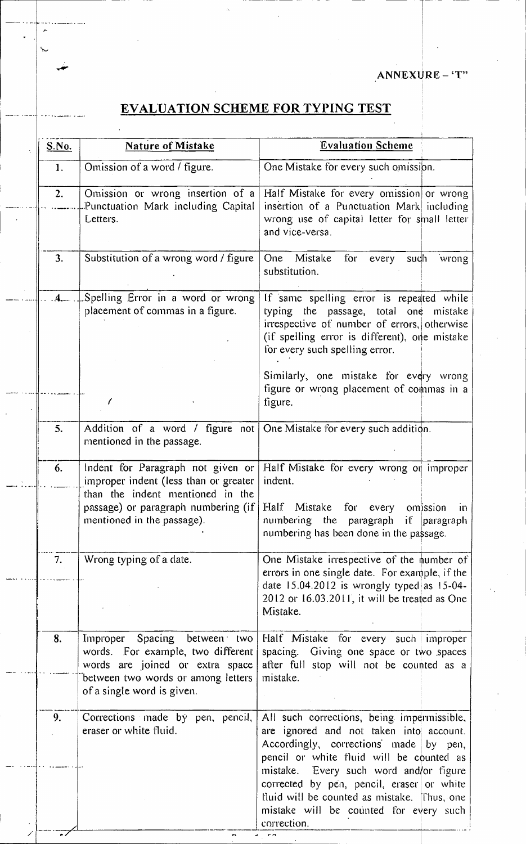ANNEXURE-'T"

## **EVALUATION SCHEME FOR TYPING TEST**

| S.No. | <b>Nature of Mistake</b>                                                                                                                                                 | <b>Evaluation Scheme</b>                                                                                                                                                                                                                                                                                                                                                    |  |
|-------|--------------------------------------------------------------------------------------------------------------------------------------------------------------------------|-----------------------------------------------------------------------------------------------------------------------------------------------------------------------------------------------------------------------------------------------------------------------------------------------------------------------------------------------------------------------------|--|
| 1.    | Omission of a word / figure.                                                                                                                                             | One Mistake for every such omission.                                                                                                                                                                                                                                                                                                                                        |  |
| 2.    | Omission or wrong insertion of a<br>Punctuation Mark including Capital<br>Letters.                                                                                       | Half Mistake for every omission or wrong<br>insertion of a Punctuation Mark including<br>wrong use of capital letter for small letter<br>and vice-versa.                                                                                                                                                                                                                    |  |
| 3.    | Substitution of a wrong word / figure                                                                                                                                    | One Mistake<br>for<br>every<br>such<br>wrong<br>substitution.                                                                                                                                                                                                                                                                                                               |  |
| 4     | Spelling Error in a word or wrong<br>placement of commas in a figure.                                                                                                    | If same spelling error is repeated while<br>typing the passage, total one mistake<br>irrespective of number of errors, otherwise<br>(if spelling error is different), one mistake<br>for every such spelling error.                                                                                                                                                         |  |
|       |                                                                                                                                                                          | Similarly, one mistake for every wrong<br>figure or wrong placement of commas in a<br>figure.                                                                                                                                                                                                                                                                               |  |
| 5.    | mentioned in the passage.                                                                                                                                                | Addition of a word / figure not One Mistake for every such addition.                                                                                                                                                                                                                                                                                                        |  |
| 6.    | Indent for Paragraph not given or<br>improper indent (less than or greater                                                                                               | Half Mistake for every wrong or improper<br>indent.                                                                                                                                                                                                                                                                                                                         |  |
|       | than the indent mentioned in the<br>passage) or paragraph numbering (if<br>mentioned in the passage).                                                                    | Half Mistake for every omission<br>$\overline{10}$<br>numbering the paragraph if paragraph<br>numbering has been done in the passage.                                                                                                                                                                                                                                       |  |
| 7.    | Wrong typing of a date.                                                                                                                                                  | One Mistake irrespective of the number of<br>errors in one single date. For example, if the<br>date $15.04.2012$ is wrongly typed as $15-04$ -<br>2012 or 16.03.2011, it will be treated as One<br>Mistake.                                                                                                                                                                 |  |
| 8.    | Improper Spacing between two<br>words. For example, two different<br>words are joined or extra space<br>between two words or among letters<br>of a single word is given. | Half Mistake for every such improper<br>spacing. Giving one space or two spaces<br>after full stop will not be counted as a<br>mistake.                                                                                                                                                                                                                                     |  |
| 9.    | Corrections made by pen, pencil,<br>eraser or white fluid.                                                                                                               | All such corrections, being impermissible,<br>are ignored and not taken into account.<br>Accordingly, corrections made by pen,<br>pencil or white fluid will be counted as<br>mistake. Every such word and/or figure<br>corrected by pen, pencil, eraser or white<br>fluid will be counted as mistake. [Thus, one]<br>mistake will be counted for every such<br>correction. |  |